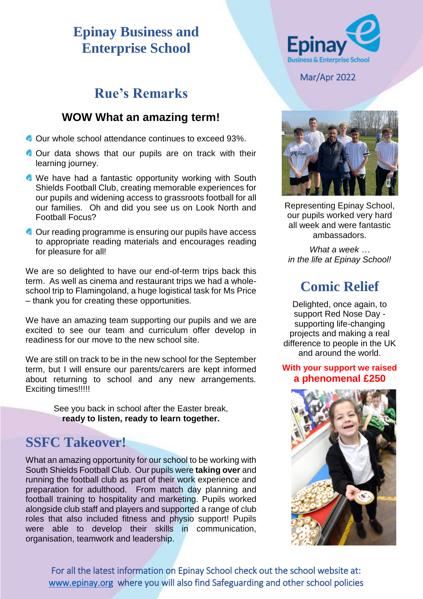#### **Epinay Business and Enterprise School**

## **Rue's Remarks**

#### **WOW What an amazing term!**

- Our whole school attendance continues to exceed 93%.
- **Our data shows that our pupils are on track with their** learning journey.
- **We have had a fantastic opportunity working with South** Shields Football Club, creating memorable experiences for our pupils and widening access to grassroots football for all our families. Oh and did you see us on Look North and Football Focus?
- Our reading programme is ensuring our pupils have access to appropriate reading materials and encourages reading for pleasure for all!

We are so delighted to have our end-of-term trips back this term. As well as cinema and restaurant trips we had a wholeschool trip to Flamingoland, a huge logistical task for Ms Price – thank you for creating these opportunities.

We have an amazing team supporting our pupils and we are excited to see our team and curriculum offer develop in readiness for our move to the new school site.

We are still on track to be in the new school for the September term, but I will ensure our parents/carers are kept informed about returning to school and any new arrangements. Exciting times!!!!!

> See you back in school after the Easter break, **ready to listen, ready to learn together.**

#### **SSFC Takeover!**

What an amazing opportunity for our school to be working with South Shields Football Club. Our pupils were **taking over** and running the football club as part of their work experience and preparation for adulthood. From match day planning and football training to hospitality and marketing. Pupils worked alongside club staff and players and supported a range of club roles that also included fitness and physio support! Pupils were able to develop their skills in communication, organisation, teamwork and leadership.



Mar/Apr 2022



Representing Epinay School, our pupils worked very hard all week and were fantastic ambassadors.

*What a week … in the life at Epinay School!*

# **Comic Relief**

Delighted, once again, to support Red Nose Day supporting life-changing projects and making a real difference to people in the UK and around the world.

#### **With your support we raised a phenomenal £250**



For all the latest information on Epinay School check out the school website at: [www.epinay.org](http://www.epinay.org/) where you will also find Safeguarding and other school policies